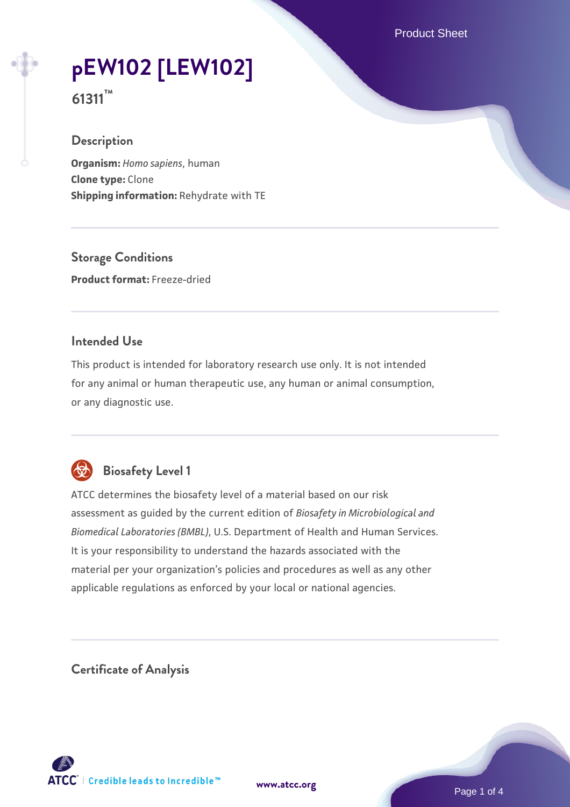Product Sheet

# **[pEW102 \[LEW102\]](https://www.atcc.org/products/61311)**

**61311™**

# **Description**

**Organism:** *Homo sapiens*, human **Clone type:** Clone **Shipping information:** Rehydrate with TE

**Storage Conditions Product format:** Freeze-dried

#### **Intended Use**

This product is intended for laboratory research use only. It is not intended for any animal or human therapeutic use, any human or animal consumption, or any diagnostic use.



# **Biosafety Level 1**

ATCC determines the biosafety level of a material based on our risk assessment as guided by the current edition of *Biosafety in Microbiological and Biomedical Laboratories (BMBL)*, U.S. Department of Health and Human Services. It is your responsibility to understand the hazards associated with the material per your organization's policies and procedures as well as any other applicable regulations as enforced by your local or national agencies.

**Certificate of Analysis**

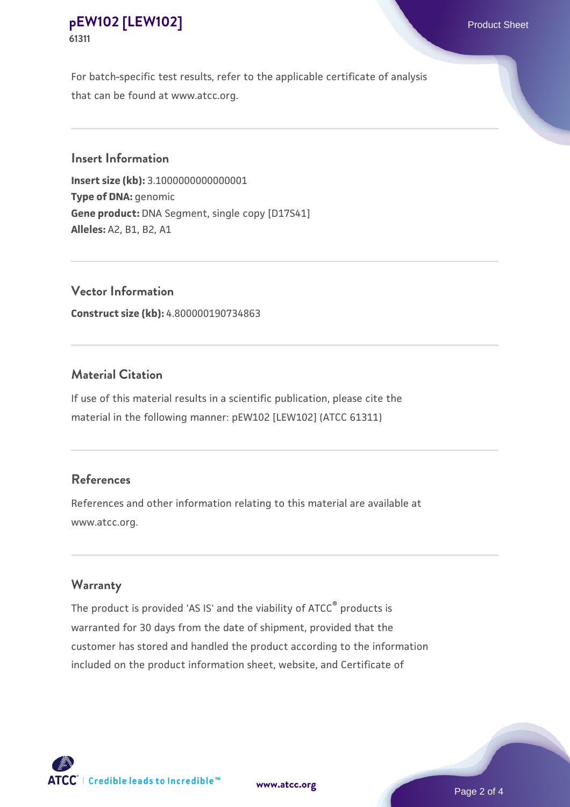## **[pEW102 \[LEW102\]](https://www.atcc.org/products/61311)** Product Sheet **61311**

For batch-specific test results, refer to the applicable certificate of analysis that can be found at www.atcc.org.

#### **Insert Information**

**Insert size (kb):** 3.1000000000000001 **Type of DNA:** genomic **Gene product:** DNA Segment, single copy [D17S41] **Alleles:** A2, B1, B2, A1

**Vector Information Construct size (kb):** 4.800000190734863

#### **Material Citation**

If use of this material results in a scientific publication, please cite the material in the following manner: pEW102 [LEW102] (ATCC 61311)

## **References**

References and other information relating to this material are available at www.atcc.org.

#### **Warranty**

The product is provided 'AS IS' and the viability of ATCC® products is warranted for 30 days from the date of shipment, provided that the customer has stored and handled the product according to the information included on the product information sheet, website, and Certificate of

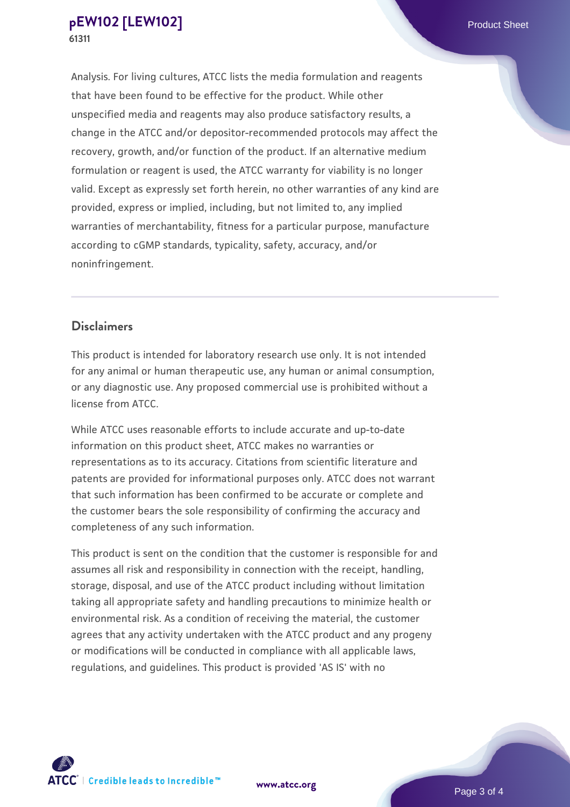Analysis. For living cultures, ATCC lists the media formulation and reagents that have been found to be effective for the product. While other unspecified media and reagents may also produce satisfactory results, a change in the ATCC and/or depositor-recommended protocols may affect the recovery, growth, and/or function of the product. If an alternative medium formulation or reagent is used, the ATCC warranty for viability is no longer valid. Except as expressly set forth herein, no other warranties of any kind are provided, express or implied, including, but not limited to, any implied warranties of merchantability, fitness for a particular purpose, manufacture according to cGMP standards, typicality, safety, accuracy, and/or noninfringement.

#### **Disclaimers**

This product is intended for laboratory research use only. It is not intended for any animal or human therapeutic use, any human or animal consumption, or any diagnostic use. Any proposed commercial use is prohibited without a license from ATCC.

While ATCC uses reasonable efforts to include accurate and up-to-date information on this product sheet, ATCC makes no warranties or representations as to its accuracy. Citations from scientific literature and patents are provided for informational purposes only. ATCC does not warrant that such information has been confirmed to be accurate or complete and the customer bears the sole responsibility of confirming the accuracy and completeness of any such information.

This product is sent on the condition that the customer is responsible for and assumes all risk and responsibility in connection with the receipt, handling, storage, disposal, and use of the ATCC product including without limitation taking all appropriate safety and handling precautions to minimize health or environmental risk. As a condition of receiving the material, the customer agrees that any activity undertaken with the ATCC product and any progeny or modifications will be conducted in compliance with all applicable laws, regulations, and guidelines. This product is provided 'AS IS' with no